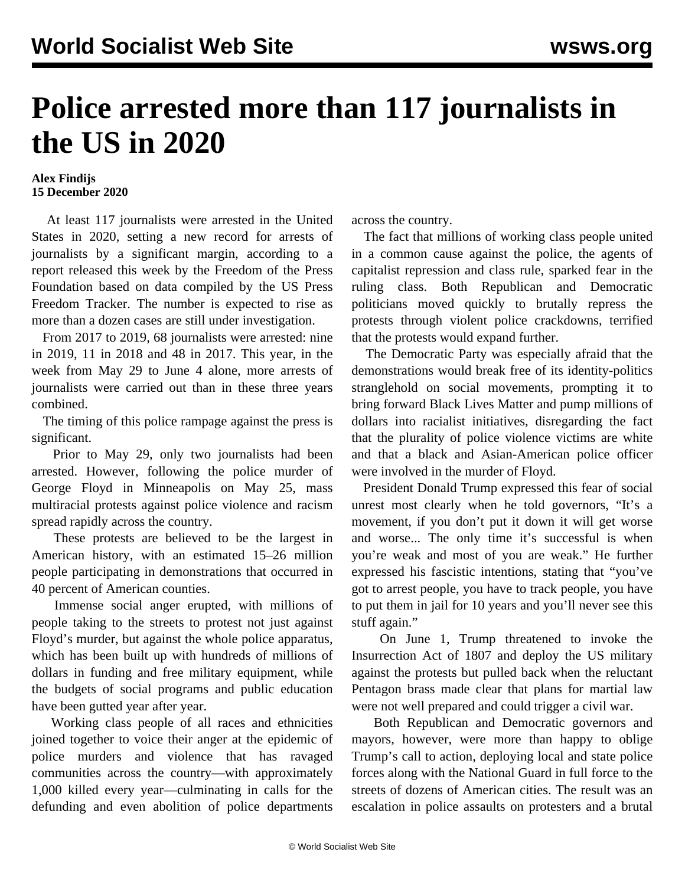## **Police arrested more than 117 journalists in the US in 2020**

## **Alex Findijs 15 December 2020**

 At least 117 journalists were arrested in the United States in 2020, setting a new record for arrests of journalists by a significant margin, according to a report released this week by the Freedom of the Press Foundation based on data compiled by the US Press Freedom Tracker. The number is expected to rise as more than a dozen cases are still under investigation.

 From 2017 to 2019, 68 journalists were arrested: nine in 2019, 11 in 2018 and 48 in 2017. This year, in the week from May 29 to June 4 alone, more arrests of journalists were carried out than in these three years combined.

 The timing of this police rampage against the press is significant.

 Prior to May 29, only two journalists had been arrested. However, following the police murder of George Floyd in Minneapolis on May 25, mass multiracial protests against police violence and racism spread rapidly across the country.

 These protests are believed to be the largest in American history, with an estimated 15–26 million people participating in demonstrations that occurred in 40 percent of American counties.

 Immense social anger erupted, with millions of people taking to the streets to protest not just against Floyd's murder, but against the whole police apparatus, which has been built up with hundreds of millions of dollars in funding and free military equipment, while the budgets of social programs and public education have been gutted year after year.

 Working class people of all races and ethnicities joined together to voice their anger at the epidemic of police murders and violence that has ravaged communities across the country—with approximately 1,000 killed every year—culminating in calls for the defunding and even abolition of police departments across the country.

 The fact that millions of working class people united in a common cause against the police, the agents of capitalist repression and class rule, sparked fear in the ruling class. Both Republican and Democratic politicians moved quickly to brutally repress the protests through violent police crackdowns, terrified that the protests would expand further.

 The Democratic Party was especially afraid that the demonstrations would break free of its identity-politics stranglehold on social movements, prompting it to bring forward Black Lives Matter and pump millions of dollars into racialist initiatives, disregarding the fact that the plurality of police violence victims are white and that a black and Asian-American police officer were involved in the murder of Floyd.

 President Donald Trump expressed this fear of social unrest most clearly when he told governors, "It's a movement, if you don't put it down it will get worse and worse... The only time it's successful is when you're weak and most of you are weak." He further expressed his fascistic intentions, stating that "you've got to arrest people, you have to track people, you have to put them in jail for 10 years and you'll never see this stuff again."

 On June 1, Trump threatened to invoke the Insurrection Act of 1807 and deploy the US military against the protests but pulled back when the reluctant Pentagon brass made clear that plans for martial law were not well prepared and could trigger a civil war.

 Both Republican and Democratic governors and mayors, however, were more than happy to oblige Trump's call to action, deploying local and state police forces along with the National Guard in full force to the streets of dozens of American cities. The result was an escalation in police assaults on protesters and a brutal